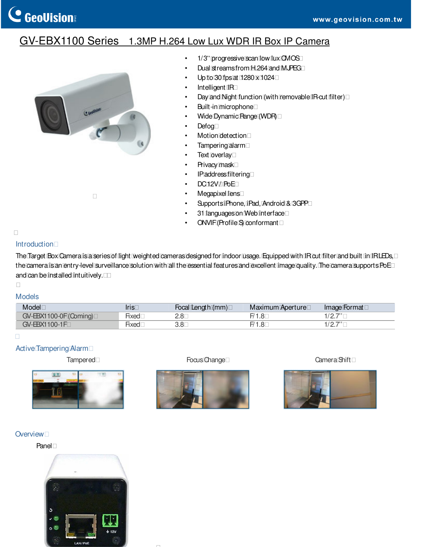# GV-EBX1100 Series 1.3MP H.264 Low Lux WDR IR Box IP Camera



- 1/3" progressive scan low lux CMOS
- Dual streams from H.264 and MJPEG
- Up to 30 fps at  $1280 \times 1024$
- Intelligent IR
- Day and Night function (with removable IR-cut filter)
- Built-in microphone
- Wide Dynamic Range (WDR)
- Defog
- Motion detection
- Tampering alarm
- Text overlay
- Privacy mask
- IP address filtering
- DC12V/PoE
- Megapixel lens
- SupportsiPhone,iPad,Android&3GPP
- 31 languages on Web interface
- ONVIF (Profile S) conformant

#### **Introduction**

The Target Box Camera is a series of light weighted cameras designed for indoor usage. Equipped with IR cut filter and built in IRLEDs, the camera is an entry-level surveillance solution with all the essential features and excellent image quality. The camera supports PoE and can be installed intuitively.

# Models

| Model                  | Irıs             | Focal Length (mm) | Maximum Aperture | Image Format              |
|------------------------|------------------|-------------------|------------------|---------------------------|
| GV-EBX1100-0F (Coming) | -<br><b>HXeG</b> | 2.8               | 1.8              | 1077<br>$\cdots$ $\cdots$ |
| GV-EBX1100-1F          | Нхес             | 3.8               | 1.C              | 107<br>. <u>. .</u>       |

### Active Tampering Alarm



Tampered Focus Change Tampered Camera Shift





#### **Overview**

Panel

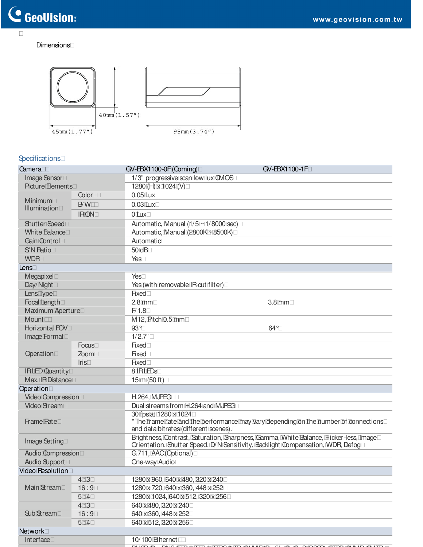#### **Dimensions**



# **Specifications**

| Camera                   |             | GV-EBX1100-0F (Coming)                                                                                                                                                    | GV-EBX1100-1F |  |
|--------------------------|-------------|---------------------------------------------------------------------------------------------------------------------------------------------------------------------------|---------------|--|
| Image Sensor             |             | 1/3" progressive scan low lux CMOS                                                                                                                                        |               |  |
| <b>Picture Elements</b>  |             | 1280 (H) x 1024 (V)                                                                                                                                                       |               |  |
| Color                    |             | $0.05$ Lux                                                                                                                                                                |               |  |
| Minimum<br>Illumination  | B/W         | $0.03$ Lux                                                                                                                                                                |               |  |
|                          | <b>IRON</b> | $0 \text{ L}$                                                                                                                                                             |               |  |
| <b>Shutter Speed</b>     |             | Automatic, Manual $(1/5 \sim 1/8000 \text{ sec})$                                                                                                                         |               |  |
| <b>White Balance</b>     |             | Automatic, Manual (2800K ~ 8500K)                                                                                                                                         |               |  |
| Gain Control             |             | Automatic                                                                                                                                                                 |               |  |
| S'N Patio                |             | 50dB                                                                                                                                                                      |               |  |
| <b>WDR</b>               |             | Yes                                                                                                                                                                       |               |  |
| Lens                     |             |                                                                                                                                                                           |               |  |
| Megapixel                |             | Yes                                                                                                                                                                       |               |  |
| Day/Night                |             | Yes (with removable IR-cut filter)                                                                                                                                        |               |  |
| Lens Type                |             | <b>Fixed</b>                                                                                                                                                              |               |  |
| Focal Length             |             | $2.8$ mm                                                                                                                                                                  | $3.8$ mm      |  |
| Maximum Aperture         |             | F/1.8                                                                                                                                                                     |               |  |
| Mount                    |             | M12, Pitch 0.5 mm                                                                                                                                                         |               |  |
| Horizontal FOV           |             | $93^\circ$                                                                                                                                                                | $64^{\circ}$  |  |
| Image Format             |             | 1/2.7"                                                                                                                                                                    |               |  |
|                          | Focus       | <b>Fixed</b>                                                                                                                                                              |               |  |
| Operation                | Zoom        | <b>Fixed</b>                                                                                                                                                              |               |  |
|                          | Iris        | <b>Fixed</b>                                                                                                                                                              |               |  |
| <b>IRLED Quantity</b>    |             | 8 IRLEDS                                                                                                                                                                  |               |  |
| Max. IRDistance          |             | 15 m (50 ft)                                                                                                                                                              |               |  |
| Operation                |             |                                                                                                                                                                           |               |  |
| <b>Video Compression</b> |             | <b>H.264, MJPEG</b>                                                                                                                                                       |               |  |
| <b>Video Stream</b>      |             | Dual streams from H.264 and MJPEG                                                                                                                                         |               |  |
| <b>Frame Pate</b>        |             | 30 fps at 1280 x 1024<br>* The frame rate and the performance may vary depending on the number of connections<br>and data bitrates (different scenes).                    |               |  |
| Image Setting            |             | Brightness, Contrast, Saturation, Sharpness, Gamma, White Balance, Flicker-less, Image<br>Orientation, Shutter Speed, D/N Sensitivity, Backlight Compensation, WDR, Defog |               |  |
| Audio Compression        |             | G.711, AAC(Optional)                                                                                                                                                      |               |  |
| Audio Support            |             | One-way Audio                                                                                                                                                             |               |  |
| <b>Video Resolution</b>  |             |                                                                                                                                                                           |               |  |
|                          | 4:3         | 1280 x 960, 640 x 480, 320 x 240                                                                                                                                          |               |  |
| Main Stream              | 16:9        | 1280 x 720, 640 x 360, 448 x 252                                                                                                                                          |               |  |
|                          | 5:4         | 1280 x 1024, 640 x 512, 320 x 256                                                                                                                                         |               |  |
| Sub Stream               | 4:3         | 640 x 480, 320 x 240                                                                                                                                                      |               |  |
|                          | 16:9        | 640 x 360, 448 x 252                                                                                                                                                      |               |  |
|                          | 5:4         | 640 x 512, 320 x 256                                                                                                                                                      |               |  |
| <b>Network</b>           |             |                                                                                                                                                                           |               |  |
| Interface                |             | 10/100 Ethernet                                                                                                                                                           |               |  |
|                          |             |                                                                                                                                                                           |               |  |